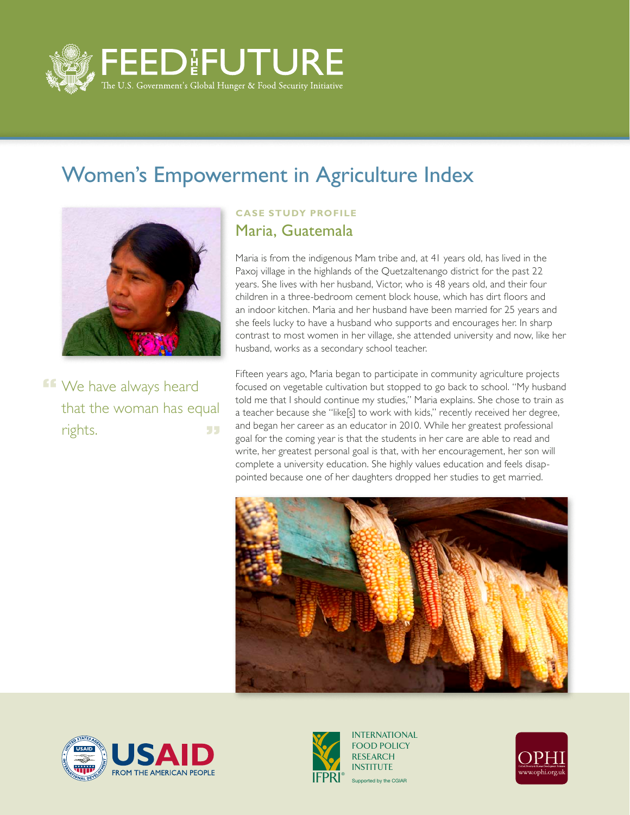

## Women's Empowerment in Agriculture Index



**FF** We have always heard that the woman has equal rights. 55

## **Case Study Profile** Maria, Guatemala

Maria is from the indigenous Mam tribe and, at 41 years old, has lived in the Paxoj village in the highlands of the Quetzaltenango district for the past 22 years. She lives with her husband, Victor, who is 48 years old, and their four children in a three-bedroom cement block house, which has dirt floors and an indoor kitchen. Maria and her husband have been married for 25 years and she feels lucky to have a husband who supports and encourages her. In sharp contrast to most women in her village, she attended university and now, like her husband, works as a secondary school teacher.

Fifteen years ago, Maria began to participate in community agriculture projects focused on vegetable cultivation but stopped to go back to school. "My husband told me that I should continue my studies," Maria explains. She chose to train as a teacher because she "like[s] to work with kids," recently received her degree, and began her career as an educator in 2010. While her greatest professional goal for the coming year is that the students in her care are able to read and write, her greatest personal goal is that, with her encouragement, her son will complete a university education. She highly values education and feels disappointed because one of her daughters dropped her studies to get married.







Supported by the CGIAR INTERNATIONAL FOOD POLICY RESEARCH INSTITUTE